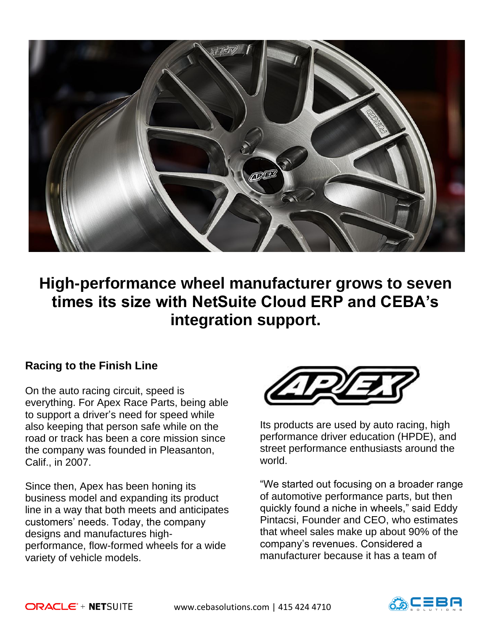

**High-performance wheel manufacturer grows to seven times its size with NetSuite Cloud ERP and CEBA's integration support.**

# **Racing to the Finish Line**

On the auto racing circuit, speed is everything. For Apex Race Parts, being able to support a driver's need for speed while also keeping that person safe while on the road or track has been a core mission since the company was founded in Pleasanton, Calif., in 2007.

Since then, Apex has been honing its business model and expanding its product line in a way that both meets and anticipates customers' needs. Today, the company designs and manufactures highperformance, flow-formed wheels for a wide variety of vehicle models.



Its products are used by auto racing, high performance driver education (HPDE), and street performance enthusiasts around the world.

"We started out focusing on a broader range of automotive performance parts, but then quickly found a niche in wheels," said Eddy Pintacsi, Founder and CEO, who estimates that wheel sales make up about 90% of the company's revenues. Considered a manufacturer because it has a team of

www.cebasolutions.com | 415 424 4710

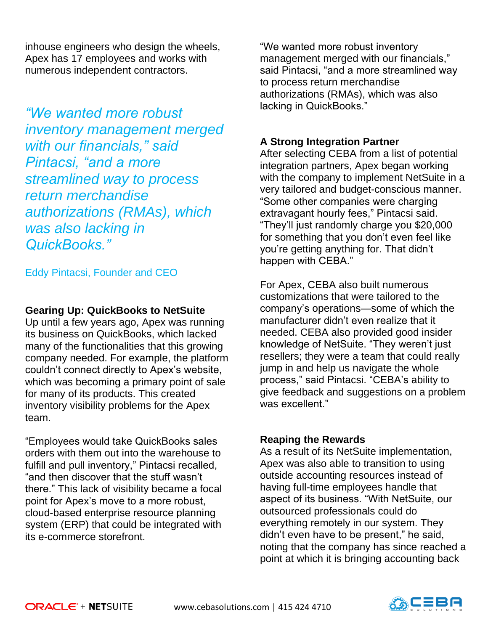inhouse engineers who design the wheels, Apex has 17 employees and works with numerous independent contractors.

*"We wanted more robust inventory management merged with our financials," said Pintacsi, "and a more streamlined way to process return merchandise authorizations (RMAs), which was also lacking in QuickBooks."* 

### Eddy Pintacsi, Founder and CEO

#### **Gearing Up: QuickBooks to NetSuite**

Up until a few years ago, Apex was running its business on QuickBooks, which lacked many of the functionalities that this growing company needed. For example, the platform couldn't connect directly to Apex's website, which was becoming a primary point of sale for many of its products. This created inventory visibility problems for the Apex team.

"Employees would take QuickBooks sales orders with them out into the warehouse to fulfill and pull inventory," Pintacsi recalled, "and then discover that the stuff wasn't there." This lack of visibility became a focal point for Apex's move to a more robust, cloud-based enterprise resource planning system (ERP) that could be integrated with its e-commerce storefront.

"We wanted more robust inventory management merged with our financials," said Pintacsi, "and a more streamlined way to process return merchandise authorizations (RMAs), which was also lacking in QuickBooks."

## **A Strong Integration Partner**

After selecting CEBA from a list of potential integration partners, Apex began working with the company to implement NetSuite in a very tailored and budget-conscious manner. "Some other companies were charging extravagant hourly fees," Pintacsi said. "They'll just randomly charge you \$20,000 for something that you don't even feel like you're getting anything for. That didn't happen with CEBA."

For Apex, CEBA also built numerous customizations that were tailored to the company's operations—some of which the manufacturer didn't even realize that it needed. CEBA also provided good insider knowledge of NetSuite. "They weren't just resellers; they were a team that could really jump in and help us navigate the whole process," said Pintacsi. "CEBA's ability to give feedback and suggestions on a problem was excellent."

#### **Reaping the Rewards**

As a result of its NetSuite implementation, Apex was also able to transition to using outside accounting resources instead of having full-time employees handle that aspect of its business. "With NetSuite, our outsourced professionals could do everything remotely in our system. They didn't even have to be present," he said, noting that the company has since reached a point at which it is bringing accounting back